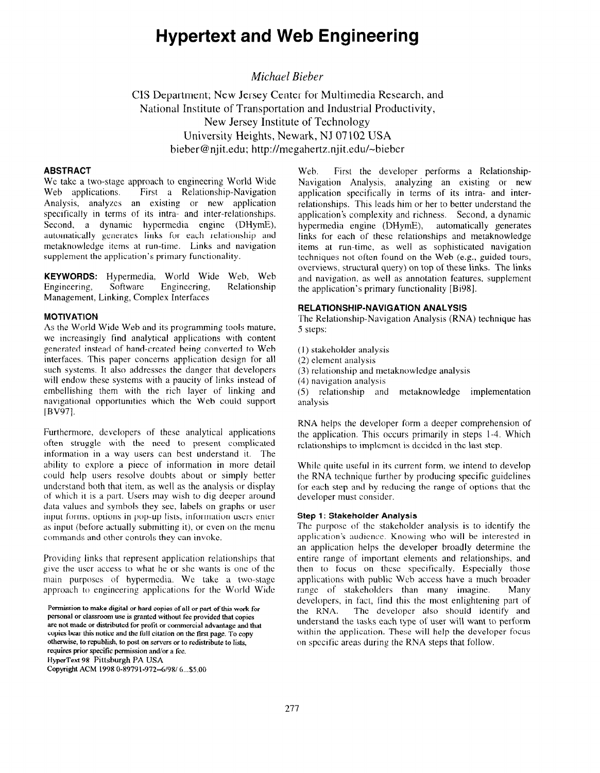# Hypertext and Web Engineering

## Michael Bieber

CIS Department; New Jersey Center for Multimedia Research, and National Institute of Transportation and Industrial Productivity, New Jersey Institute of Technology University Heights, Newark, NJ 07 102 USA bieber@njit.edu; http:Nmegahertz.njit.edu/-bieber

## ABSTRACT

We take a two-stage approach to engineering World Wide Web applications. First a Relationship-Navigation Analysis, analyzes an existing or new application specifically in terms of its intra- and inter-relationships. Second, a dynamic hypermedia engine (DHymE), automatically generates links for each relationship and metaknowledge items at run-time. Links and navigation supplement the application's primary functionality.

KEYWORDS: Hypermedia, World Wide Web, Web Engineering, Software Engineering, Relationship Management, Linking, Complex Interfaces

#### MOTIVATION

As the World Wide Web and its programming tools mature, we increasingly find analytical applications with content generated instead of hand-created being converted to Web interfaces. This paper concerns application design for all such systems. It also addresses the danger that developers will endow these systems with a paucity of links instead of embellishing them with the rich layer of linking and navigational opportunities which the Web could support  $[BV97]$ .

Furthermore, developers of these analytical applications often struggle with the need to present complicated information in a way users can best understand it. The ability to explore a piece of information in more detail could help users resolve doubts about or simply better understand both that item, as well as the analysis or display of which it is a part. Users may wish to dig deeper around data values and symbols they see, labels on graphs or user input forms. options in pop-up lists, information users enter as input (before actually submitting it), or even on the menu commands and other controls they can invoke.

Providing links that represent application relationships that give the user access to what he or she wants is one of the main purposes of hypermedia. We take a two-stage approach to engineering applications for the World Wide

Permission to make digital or hard copies of all or part of this work for personal or classroom use is granted without fee provided that copies are not made or distributed for protit or commercial advantage and that copies bear this notice and the full citation on the first page. To copy otherwise, to republish, to post on servers or to redistribute to lists, requires prior specific permission and/or a fee. HyperText 98 Pittsburgh PA USA Copyright ACM 1998 O-89791-972--6/98/ 6...\$5.00

Web. First the developer performs a Relationship-Navigation Analysis, analyzing an existing or new application specifically in terms of its intra- and interrelationships. This leads him or her to better understand the application's complexity and richness. Second, a dynamic hypermedia engine (DHymE), automatically generates links for each of these relationships and metaknowledge items at run-time, as well as sophisticated navigation techniques not often found on the Web (e.g., guided tours, overviews, structural query) on top of these links. The links and navigation, as well as annotation features, supplement the application's primary functionality [Bi98].

## RELATIONSHIP-NAVIGATION ANALYSIS

The Relationship-Navigation Analysis (RNA) technique has 5 steps:

- (I) stakeholder analysis
- (2) element analysis
- (3) relationship and metaknowledge analysis
- (4) navigation analysis

(3 relationship and metaknowledge implementation analysis

RNA helps the developer form a deeper comprehension of the application. This occurs primarily in steps l-4. Which relationships to implement is decided in the last step.

While quite useful in its current form, we intend to develop the RNA technique further by producing specific guidelines for each step and by reducing the range of options that the developer must consider.

## Step 1: Stakeholder Analysis

The purpose of the stakeholder analysis is to identify the application's audience. Knowing who will be interested in an application helps the developer broadly determine the entire range of important elements and relationships, and then to focus on these specifically. Especially those applications with public Web access have a much broader range of stakeholders than many imagine. Many developers, in fact, find this the most enlightening part of the RNA. The developer also should identify and understand the tasks each type of user will want to perform within the application. These will help the developer focus on specific areas during the RNA steps that follow.